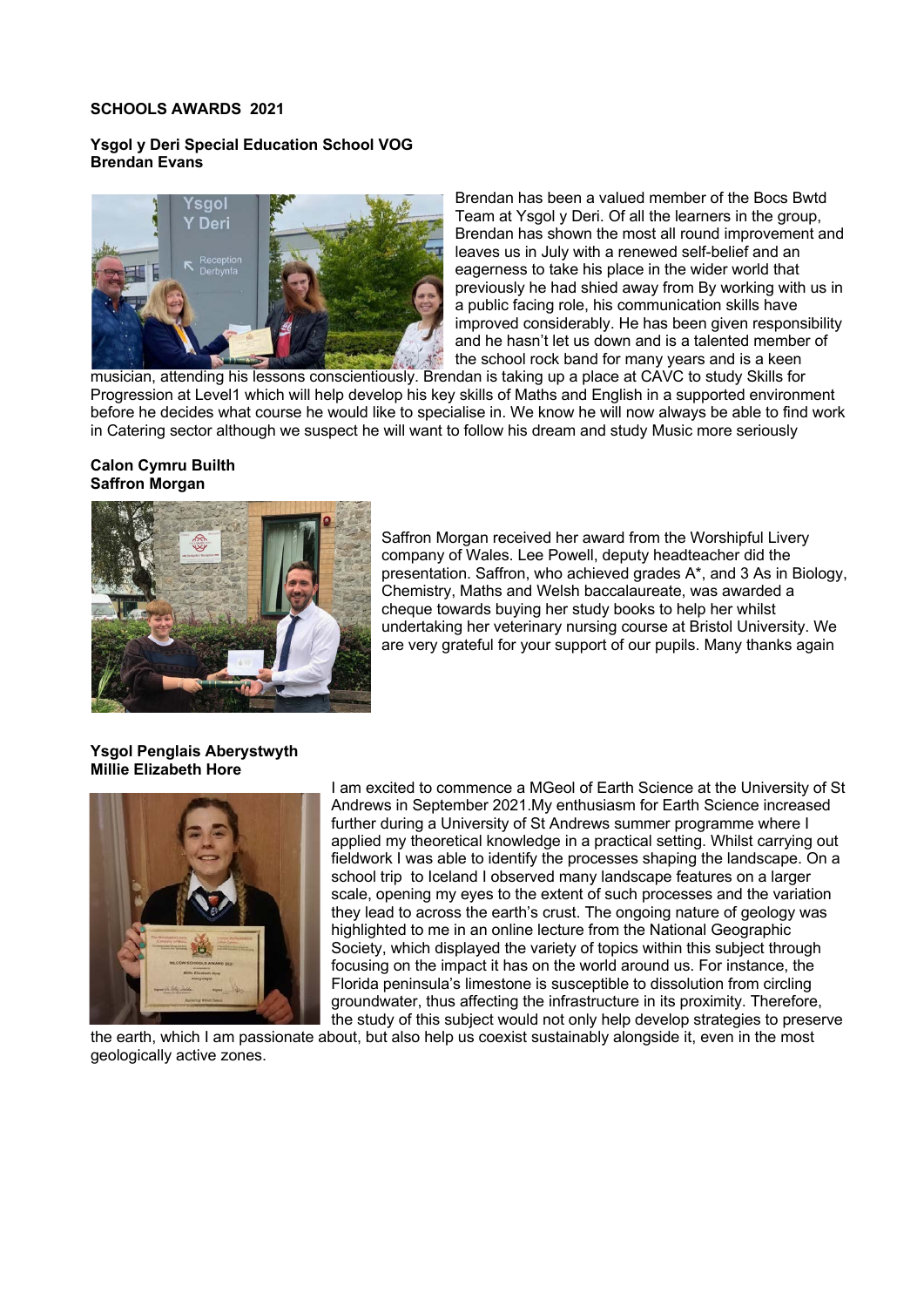#### **SCHOOLS AWARDS 2021**

### **Ysgol y Deri Special Education School VOG Brendan Evans**



Brendan has been a valued member of the Bocs Bwtd Team at Ysgol y Deri. Of all the learners in the group, Brendan has shown the most all round improvement and leaves us in July with a renewed self-belief and an eagerness to take his place in the wider world that previously he had shied away from By working with us in a public facing role, his communication skills have improved considerably. He has been given responsibility and he hasn't let us down and is a talented member of the school rock band for many years and is a keen

musician, attending his lessons conscientiously. Brendan is taking up a place at CAVC to study Skills for Progression at Level1 which will help develop his key skills of Maths and English in a supported environment before he decides what course he would like to specialise in. We know he will now always be able to find work in Catering sector although we suspect he will want to follow his dream and study Music more seriously

#### **Calon Cymru Builth Saffron Morgan**



Saffron Morgan received her award from the Worshipful Livery company of Wales. Lee Powell, deputy headteacher did the presentation. Saffron, who achieved grades A\*, and 3 As in Biology, Chemistry, Maths and Welsh baccalaureate, was awarded a cheque towards buying her study books to help her whilst undertaking her veterinary nursing course at Bristol University. We are very grateful for your support of our pupils. Many thanks again

### **Ysgol Penglais Aberystwyth Millie Elizabeth Hore**



I am excited to commence a MGeol of Earth Science at the University of St Andrews in September 2021.My enthusiasm for Earth Science increased further during a University of St Andrews summer programme where I applied my theoretical knowledge in a practical setting. Whilst carrying out fieldwork I was able to identify the processes shaping the landscape. On a school trip to Iceland I observed many landscape features on a larger scale, opening my eyes to the extent of such processes and the variation they lead to across the earth's crust. The ongoing nature of geology was highlighted to me in an online lecture from the National Geographic Society, which displayed the variety of topics within this subject through focusing on the impact it has on the world around us. For instance, the Florida peninsula's limestone is susceptible to dissolution from circling groundwater, thus affecting the infrastructure in its proximity. Therefore, the study of this subject would not only help develop strategies to preserve

the earth, which I am passionate about, but also help us coexist sustainably alongside it, even in the most geologically active zones.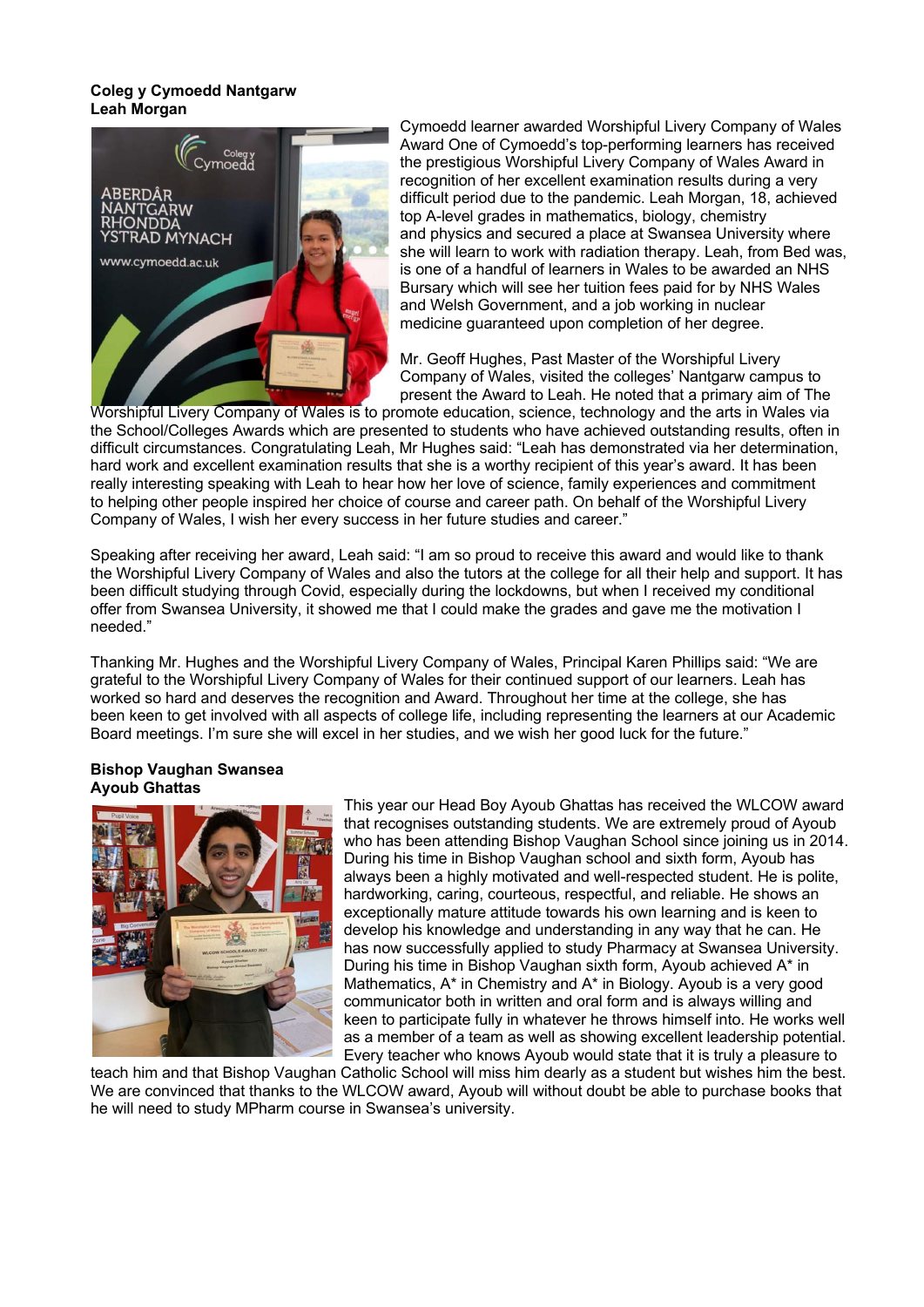#### **Coleg y Cymoedd Nantgarw Leah Morgan**



Cymoedd learner awarded Worshipful Livery Company of Wales Award One of Cymoedd's top-performing learners has received the prestigious Worshipful Livery Company of Wales Award in recognition of her excellent examination results during a very difficult period due to the pandemic. Leah Morgan, 18, achieved top A-level grades in mathematics, biology, chemistry and physics and secured a place at Swansea University where she will learn to work with radiation therapy. Leah, from Bed was, is one of a handful of learners in Wales to be awarded an NHS Bursary which will see her tuition fees paid for by NHS Wales and Welsh Government, and a job working in nuclear medicine guaranteed upon completion of her degree.

Mr. Geoff Hughes, Past Master of the Worshipful Livery Company of Wales, visited the colleges' Nantgarw campus to present the Award to Leah. He noted that a primary aim of The

Worshipful Livery Company of Wales is to promote education, science, technology and the arts in Wales via the School/Colleges Awards which are presented to students who have achieved outstanding results, often in difficult circumstances. Congratulating Leah, Mr Hughes said: "Leah has demonstrated via her determination, hard work and excellent examination results that she is a worthy recipient of this year's award. It has been really interesting speaking with Leah to hear how her love of science, family experiences and commitment to helping other people inspired her choice of course and career path. On behalf of the Worshipful Livery Company of Wales, I wish her every success in her future studies and career."

Speaking after receiving her award, Leah said: "I am so proud to receive this award and would like to thank the Worshipful Livery Company of Wales and also the tutors at the college for all their help and support. It has been difficult studying through Covid, especially during the lockdowns, but when I received my conditional offer from Swansea University, it showed me that I could make the grades and gave me the motivation I needed."

Thanking Mr. Hughes and the Worshipful Livery Company of Wales, Principal Karen Phillips said: "We are grateful to the Worshipful Livery Company of Wales for their continued support of our learners. Leah has worked so hard and deserves the recognition and Award. Throughout her time at the college, she has been keen to get involved with all aspects of college life, including representing the learners at our Academic Board meetings. I'm sure she will excel in her studies, and we wish her good luck for the future."

### **Bishop Vaughan Swansea Ayoub Ghattas**



This year our Head Boy Ayoub Ghattas has received the WLCOW award that recognises outstanding students. We are extremely proud of Ayoub who has been attending Bishop Vaughan School since joining us in 2014. During his time in Bishop Vaughan school and sixth form, Ayoub has always been a highly motivated and well-respected student. He is polite, hardworking, caring, courteous, respectful, and reliable. He shows an exceptionally mature attitude towards his own learning and is keen to develop his knowledge and understanding in any way that he can. He has now successfully applied to study Pharmacy at Swansea University. During his time in Bishop Vaughan sixth form, Ayoub achieved A\* in Mathematics, A\* in Chemistry and A\* in Biology. Ayoub is a very good communicator both in written and oral form and is always willing and keen to participate fully in whatever he throws himself into. He works well as a member of a team as well as showing excellent leadership potential. Every teacher who knows Ayoub would state that it is truly a pleasure to

teach him and that Bishop Vaughan Catholic School will miss him dearly as a student but wishes him the best. We are convinced that thanks to the WLCOW award, Ayoub will without doubt be able to purchase books that he will need to study MPharm course in Swansea's university.